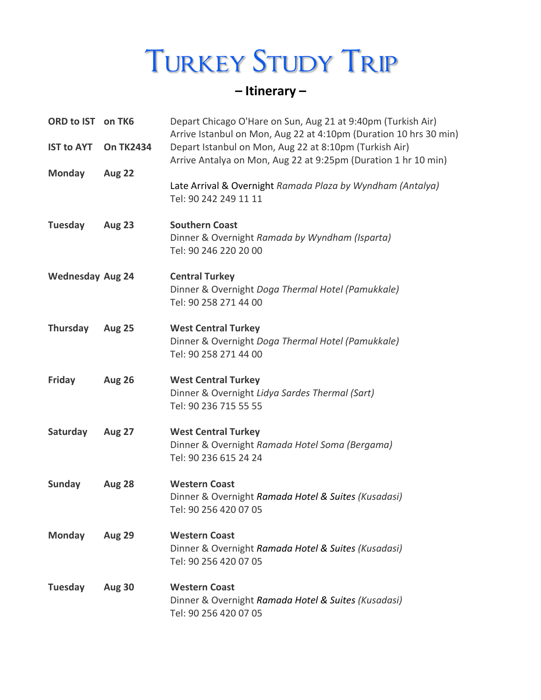# **TURKEY STUDY TRIP**

# **– Itinerary –**

| ORD to IST<br><b>IST to AYT</b> | on TK6<br><b>On TK2434</b> | Depart Chicago O'Hare on Sun, Aug 21 at 9:40pm (Turkish Air)<br>Arrive Istanbul on Mon, Aug 22 at 4:10pm (Duration 10 hrs 30 min)<br>Depart Istanbul on Mon, Aug 22 at 8:10pm (Turkish Air) |
|---------------------------------|----------------------------|---------------------------------------------------------------------------------------------------------------------------------------------------------------------------------------------|
| <b>Monday</b>                   | <b>Aug 22</b>              | Arrive Antalya on Mon, Aug 22 at 9:25pm (Duration 1 hr 10 min)<br>Late Arrival & Overnight Ramada Plaza by Wyndham (Antalya)<br>Tel: 90 242 249 11 11                                       |
| <b>Tuesday</b>                  | <b>Aug 23</b>              | <b>Southern Coast</b><br>Dinner & Overnight Ramada by Wyndham (Isparta)<br>Tel: 90 246 220 20 00                                                                                            |
| <b>Wednesday Aug 24</b>         |                            | <b>Central Turkey</b><br>Dinner & Overnight Doga Thermal Hotel (Pamukkale)<br>Tel: 90 258 271 44 00                                                                                         |
| <b>Thursday</b>                 | <b>Aug 25</b>              | <b>West Central Turkey</b><br>Dinner & Overnight Doga Thermal Hotel (Pamukkale)<br>Tel: 90 258 271 44 00                                                                                    |
| Friday                          | <b>Aug 26</b>              | <b>West Central Turkey</b><br>Dinner & Overnight Lidya Sardes Thermal (Sart)<br>Tel: 90 236 715 55 55                                                                                       |
| Saturday                        | <b>Aug 27</b>              | <b>West Central Turkey</b><br>Dinner & Overnight Ramada Hotel Soma (Bergama)<br>Tel: 90 236 615 24 24                                                                                       |
| <b>Sunday</b>                   | <b>Aug 28</b>              | <b>Western Coast</b><br>Dinner & Overnight Ramada Hotel & Suites (Kusadasi)<br>Tel: 90 256 420 07 05                                                                                        |
| <b>Monday</b>                   | <b>Aug 29</b>              | <b>Western Coast</b><br>Dinner & Overnight Ramada Hotel & Suites (Kusadasi)<br>Tel: 90 256 420 07 05                                                                                        |
| <b>Tuesday</b>                  | <b>Aug 30</b>              | <b>Western Coast</b><br>Dinner & Overnight Ramada Hotel & Suites (Kusadasi)<br>Tel: 90 256 420 07 05                                                                                        |